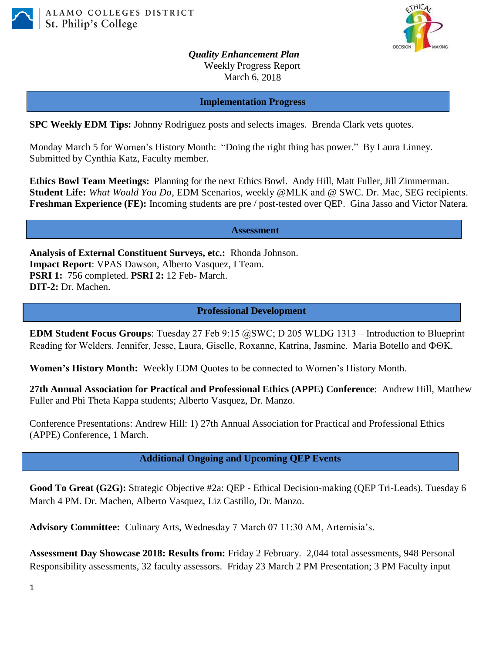



*Quality Enhancement Plan* Weekly Progress Report March 6, 2018

**Implementation Progress**

**SPC Weekly EDM Tips:** Johnny Rodriguez posts and selects images. Brenda Clark vets quotes.

Monday March 5 for Women's History Month: "Doing the right thing has power." By Laura Linney. Submitted by Cynthia Katz, Faculty member.

**Ethics Bowl Team Meetings:** Planning for the next Ethics Bowl.Andy Hill, Matt Fuller, Jill Zimmerman. **Student Life:** *What Would You Do*, EDM Scenarios, weekly @MLK and @ SWC. Dr. Mac, SEG recipients. **Freshman Experience (FE):** Incoming students are pre / post-tested over QEP. Gina Jasso and Victor Natera.

**Assessment**

**Analysis of External Constituent Surveys, etc.:** Rhonda Johnson. **Impact Report**: VPAS Dawson, Alberto Vasquez, I Team. **PSRI 1:** 756 completed. **PSRI 2:** 12 Feb- March. **DIT-2:** Dr. Machen.

**Professional Development**

**EDM Student Focus Groups**: Tuesday 27 Feb 9:15 @SWC; D 205 WLDG 1313 – Introduction to Blueprint Reading for Welders. Jennifer, Jesse, Laura, Giselle, Roxanne, Katrina, Jasmine. Maria Botello and  $\Phi\Theta K$ .

**Women's History Month:** Weekly EDM Quotes to be connected to Women's History Month.

**27th Annual Association for Practical and Professional Ethics (APPE) Conference**: Andrew Hill, Matthew Fuller and Phi Theta Kappa students; Alberto Vasquez, Dr. Manzo.

Conference Presentations: Andrew Hill: 1) 27th Annual Association for Practical and Professional Ethics (APPE) Conference, 1 March.

**Additional Ongoing and Upcoming QEP Events**

**Good To Great (G2G):** Strategic Objective #2a: QEP - Ethical Decision-making (QEP Tri-Leads). Tuesday 6 March 4 PM. Dr. Machen, Alberto Vasquez, Liz Castillo, Dr. Manzo.

**Advisory Committee:** Culinary Arts, Wednesday 7 March 07 11:30 AM, Artemisia's.

**Assessment Day Showcase 2018: Results from:** Friday 2 February. 2,044 total assessments, 948 Personal Responsibility assessments, 32 faculty assessors. Friday 23 March 2 PM Presentation; 3 PM Faculty input